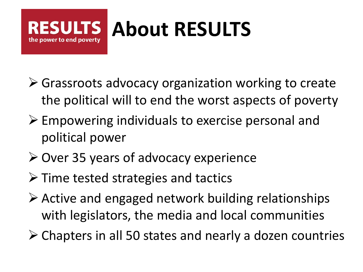#### **About RESULTS**the power to end poverty

- Grassroots advocacy organization working to create the political will to end the worst aspects of poverty
- $\triangleright$  Empowering individuals to exercise personal and political power
- $\triangleright$  Over 35 years of advocacy experience
- $\triangleright$  Time tested strategies and tactics
- $\triangleright$  Active and engaged network building relationships with legislators, the media and local communities
- $\triangleright$  Chapters in all 50 states and nearly a dozen countries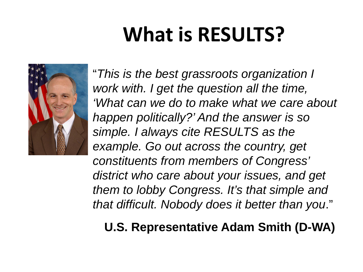## **What is RESULTS?**



"*This is the best grassroots organization I work with. I get the question all the time, 'What can we do to make what we care about happen politically?' And the answer is so simple. I always cite RESULTS as the example. Go out across the country, get constituents from members of Congress' district who care about your issues, and get them to lobby Congress. It's that simple and that difficult. Nobody does it better than you*."

### **U.S. Representative Adam Smith (D-WA)**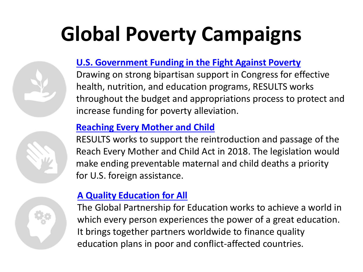## **Global Poverty Campaigns**



#### **[U.S. Government Funding in the Fight Against Poverty](http://www.results.org/issues/appropriations)**

Drawing on strong bipartisan support in Congress for effective health, nutrition, and education programs, RESULTS works throughout the budget and appropriations process to protect and increase funding for poverty alleviation.

#### **[Reaching Every Mother and Child](http://www.results.org/issues/global_poverty_campaigns/maternal_and_child_health/)**

RESULTS works to support the reintroduction and passage of the Reach Every Mother and Child Act in 2018. The legislation would make ending preventable maternal and child deaths a priority for U.S. foreign assistance.

#### **A Quality [Education for All](http://www.results.org/issues/global_poverty_campaigns/globalpartnership)**

The Global Partnership for Education works to achieve a world in which every person experiences the power of a great education. It brings together partners worldwide to finance quality education plans in poor and conflict-affected countries.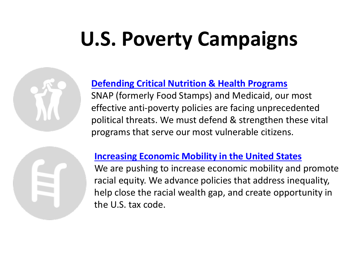## **U.S. Poverty Campaigns**



SNAP (formerly Food Stamps) and Medicaid, our most effective anti-poverty policies are facing unprecedented political threats. We must defend & strengthen these vital programs that serve our most vulnerable citizens.



#### **[Increasing Economic Mobility in the United States](http://results.org/issues/economic_opportunity_for_all)**

We are pushing to increase economic mobility and promote racial equity. We advance policies that address inequality, help close the racial wealth gap, and create opportunity in the U.S. tax code.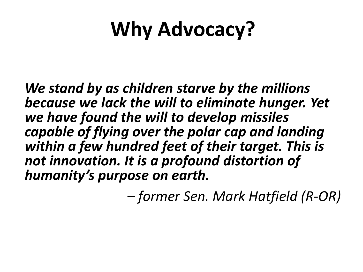## **Why Advocacy?**

*We stand by as children starve by the millions because we lack the will to eliminate hunger. Yet we have found the will to develop missiles capable of flying over the polar cap and landing within a few hundred feet of their target. This is not innovation. It is a profound distortion of humanity's purpose on earth.*

*– former Sen. Mark Hatfield (R-OR)*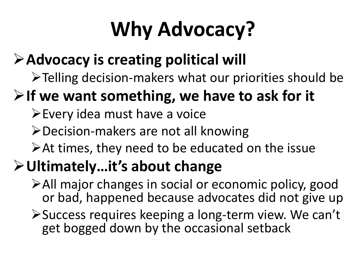## **Why Advocacy?**

### **Advocacy is creating political will**

Telling decision-makers what our priorities should be

### **If we want something, we have to ask for it**

- Every idea must have a voice
- Decision-makers are not all knowing
- At times, they need to be educated on the issue

### **Ultimately…it's about change**

- All major changes in social or economic policy, good or bad, happened because advocates did not give up
- Success requires keeping a long-term view. We can't get bogged down by the occasional setback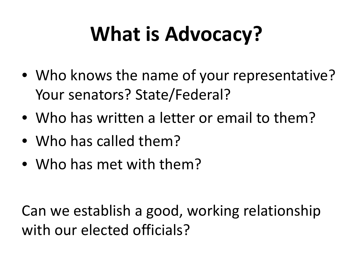## **What is Advocacy?**

- Who knows the name of your representative? Your senators? State/Federal?
- Who has written a letter or email to them?
- Who has called them?
- Who has met with them?

Can we establish a good, working relationship with our elected officials?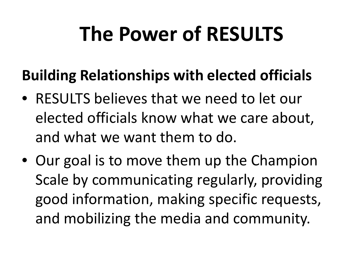### **The Power of RESULTS**

### **Building Relationships with elected officials**

- RESULTS believes that we need to let our elected officials know what we care about, and what we want them to do.
- Our goal is to move them up the Champion Scale by communicating regularly, providing good information, making specific requests, and mobilizing the media and community.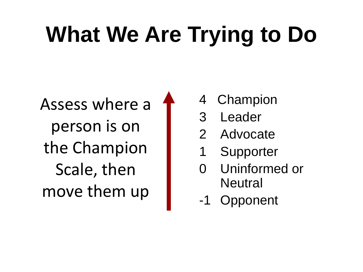# **What We Are Trying to Do**

Assess where a person is on the Champion Scale, then move them up

- 4 Champion
- 3 Leader
- 2 Advocate
- 1 Supporter
- 0 Uninformed or **Neutral**
- -1 Opponent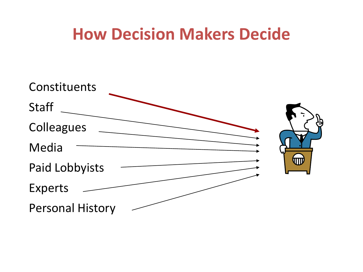### **How Decision Makers Decide**

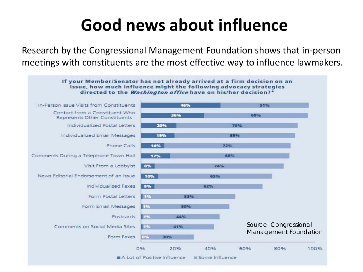### **Good news about influence**

Research by the Congressional Management Foundation shows that in-person meetings with constituents are the most effective way to influence lawmakers.

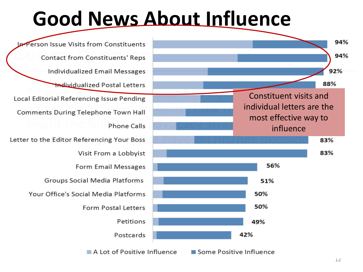### **Good News About Influence**

Person Issue Visits from Constituents **Contact from Constituents' Reps Individualized Email Messages Individualized Postal Letters** Local Editorial Referencing Issue Pending **Comments During Telephone Town Hall Phone Calls** Letter to the Editor Referencing Your Boss Visit From a Lobbyist Form Email Messages Groups Social Media Platforms Your Office's Social Media Platforms **Form Postal Letters** Petitions Postcards



A Lot of Positive Influence Some Positive Influence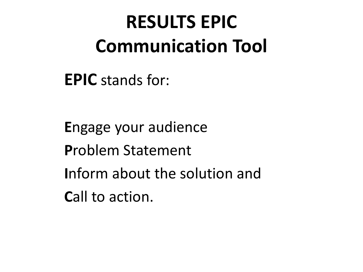**EPIC** stands for:

**E**ngage your audience **P**roblem Statement **I**nform about the solution and Call to action.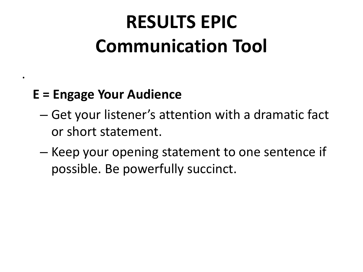### **E = Engage Your Audience**

.

- Get your listener's attention with a dramatic fact or short statement.
- Keep your opening statement to one sentence if possible. Be powerfully succinct.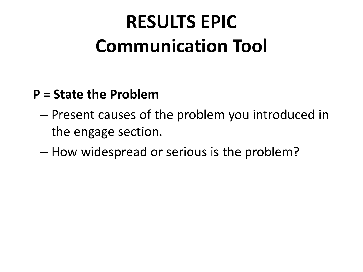#### **P = State the Problem**

- Present causes of the problem you introduced in the engage section.
- How widespread or serious is the problem?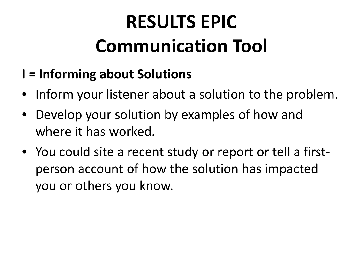- **I = Informing about Solutions**
- Inform your listener about a solution to the problem.
- Develop your solution by examples of how and where it has worked.
- You could site a recent study or report or tell a firstperson account of how the solution has impacted you or others you know.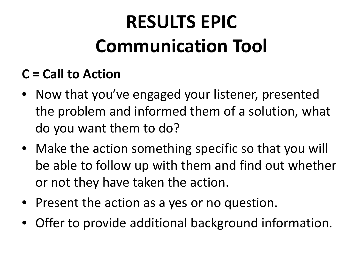### **C = Call to Action**

- Now that you've engaged your listener, presented the problem and informed them of a solution, what do you want them to do?
- Make the action something specific so that you will be able to follow up with them and find out whether or not they have taken the action.
- Present the action as a yes or no question.
- Offer to provide additional background information.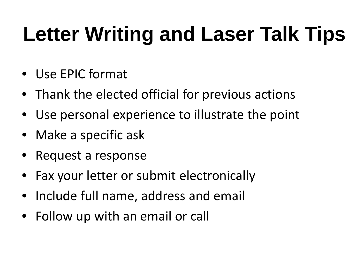## **Letter Writing and Laser Talk Tips**

- Use EPIC format
- Thank the elected official for previous actions
- Use personal experience to illustrate the point
- Make a specific ask
- Request a response
- Fax your letter or submit electronically
- Include full name, address and email
- Follow up with an email or call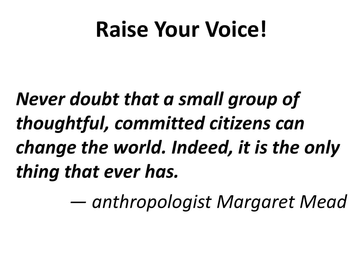## **Raise Your Voice!**

*Never doubt that a small group of thoughtful, committed citizens can change the world. Indeed, it is the only thing that ever has.*

*— anthropologist Margaret Mead*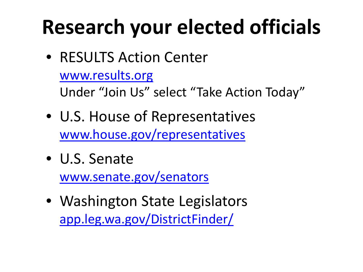## **Research your elected officials**

• RESULTS Action Center

```
www.results.org
```
Under "Join Us" select "Take Action Today"

- U.S. House of Representatives [www.house.gov/representatives](http://www.house.gov/representatives)
- U.S. Senate [www.senate.gov/senators](http://www.senate.gov/senators)
- Washington State Legislators [app.leg.wa.gov/DistrictFinder/](http://app.leg.wa.gov/DistrictFinder/)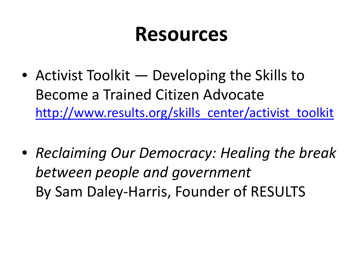### **Resources**

- Activist Toolkit Developing the Skills to Become a Trained Citizen Advocate [http://www.results.org/skills\\_center/activist\\_toolkit](http://www.results.org/skills_center/activist_toolkit)
- *Reclaiming Our Democracy: Healing the break between people and government*  By Sam Daley-Harris, Founder of RESULTS